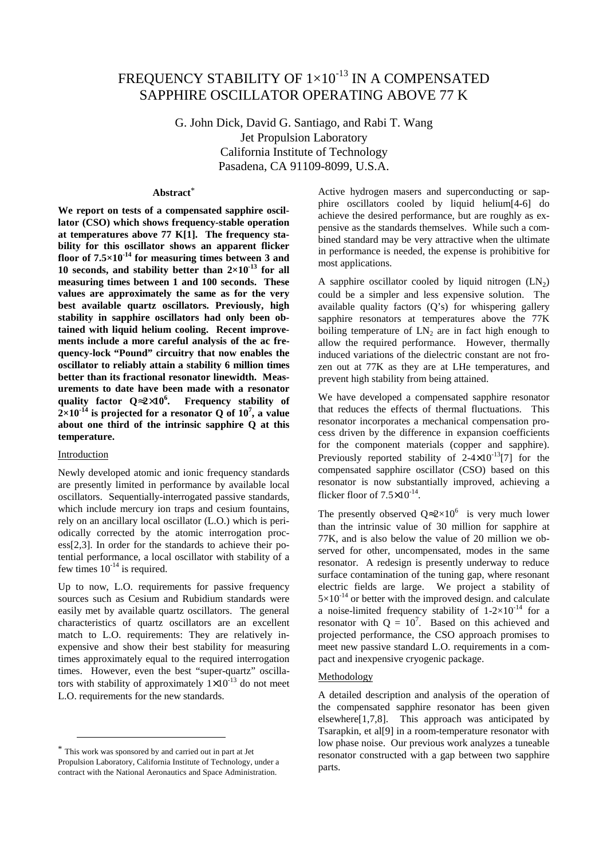# FREQUENCY STABILITY OF  $1\times10^{-13}$  IN A COMPENSATED SAPPHIRE OSCILLATOR OPERATING ABOVE 77 K

G. John Dick, David G. Santiago, and Rabi T. Wang Jet Propulsion Laboratory California Institute of Technology Pasadena, CA 91109-8099, U.S.A.

# **Abstract**\*

**We report on tests of a compensated sapphire oscillator (CSO) which shows frequency-stable operation at temperatures above 77 K[1]. The frequency stability for this oscillator shows an apparent flicker floor of 7.5×10-14 for measuring times between 3 and 10 seconds, and stability better than**  $2 \times 10^{-13}$  **for all measuring times between 1 and 100 seconds. These values are approximately the same as for the very best available quartz oscillators. Previously, high stability in sapphire oscillators had only been obtained with liquid helium cooling. Recent improvements include a more careful analysis of the ac frequency-lock "Pound" circuitry that now enables the oscillator to reliably attain a stability 6 million times better than its fractional resonator linewidth. Measurements to date have been made with a resonator quality factor Q**≈**2**×**10<sup>6</sup> . Frequency stability of**  $2\times10^{-14}$  is projected for a resonator Q of  $10^7$ , a value **about one third of the intrinsic sapphire Q at this temperature.**

## Introduction

-

Newly developed atomic and ionic frequency standards are presently limited in performance by available local oscillators. Sequentially-interrogated passive standards, which include mercury ion traps and cesium fountains, rely on an ancillary local oscillator (L.O.) which is periodically corrected by the atomic interrogation process[2,3]. In order for the standards to achieve their potential performance, a local oscillator with stability of a few times  $10^{-14}$  is required.

Up to now, L.O. requirements for passive frequency sources such as Cesium and Rubidium standards were easily met by available quartz oscillators. The general characteristics of quartz oscillators are an excellent match to L.O. requirements: They are relatively inexpensive and show their best stability for measuring times approximately equal to the required interrogation times. However, even the best "super-quartz" oscillators with stability of approximately  $1 \times 10^{-13}$  do not meet L.O. requirements for the new standards.

Active hydrogen masers and superconducting or sapphire oscillators cooled by liquid helium[4-6] do achieve the desired performance, but are roughly as expensive as the standards themselves. While such a combined standard may be very attractive when the ultimate in performance is needed, the expense is prohibitive for most applications.

A sapphire oscillator cooled by liquid nitrogen  $(LN<sub>2</sub>)$ could be a simpler and less expensive solution. The available quality factors  $(Q's)$  for whispering gallery sapphire resonators at temperatures above the 77K boiling temperature of  $LN<sub>2</sub>$  are in fact high enough to allow the required performance. However, thermally induced variations of the dielectric constant are not frozen out at 77K as they are at LHe temperatures, and prevent high stability from being attained.

We have developed a compensated sapphire resonator that reduces the effects of thermal fluctuations. This resonator incorporates a mechanical compensation process driven by the difference in expansion coefficients for the component materials (copper and sapphire). Previously reported stability of  $2-4\times10^{-13}$ [7] for the compensated sapphire oscillator (CSO) based on this resonator is now substantially improved, achieving a flicker floor of  $7.5\times10^{-14}$ .

The presently observed  $Q \approx 2 \times 10^6$  is very much lower than the intrinsic value of 30 million for sapphire at 77K, and is also below the value of 20 million we observed for other, uncompensated, modes in the same resonator. A redesign is presently underway to reduce surface contamination of the tuning gap, where resonant electric fields are large. We project a stability of  $5\times10^{-14}$  or better with the improved design, and calculate a noise-limited frequency stability of  $1-2\times10^{-14}$  for a resonator with  $Q = 10^7$ . Based on this achieved and projected performance, the CSO approach promises to meet new passive standard L.O. requirements in a compact and inexpensive cryogenic package.

# Methodology

A detailed description and analysis of the operation of the compensated sapphire resonator has been given elsewhere[1,7,8]. This approach was anticipated by Tsarapkin, et al[9] in a room-temperature resonator with low phase noise. Our previous work analyzes a tuneable resonator constructed with a gap between two sapphire parts.

<sup>\*</sup> This work was sponsored by and carried out in part at Jet Propulsion Laboratory, California Institute of Technology, under a contract with the National Aeronautics and Space Administration.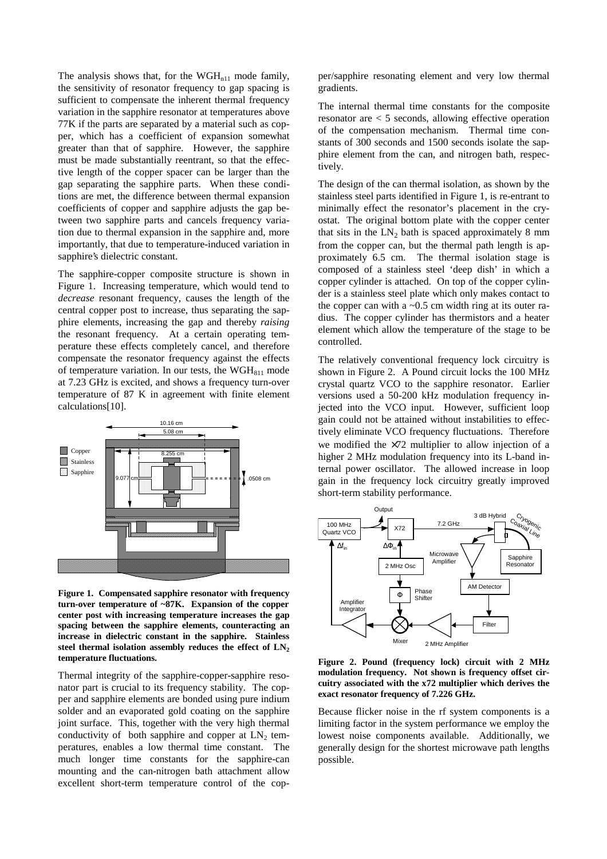The analysis shows that, for the  $WGH_{n11}$  mode family, the sensitivity of resonator frequency to gap spacing is sufficient to compensate the inherent thermal frequency variation in the sapphire resonator at temperatures above 77K if the parts are separated by a material such as copper, which has a coefficient of expansion somewhat greater than that of sapphire. However, the sapphire must be made substantially reentrant, so that the effective length of the copper spacer can be larger than the gap separating the sapphire parts. When these conditions are met, the difference between thermal expansion coefficients of copper and sapphire adjusts the gap between two sapphire parts and cancels frequency variation due to thermal expansion in the sapphire and, more importantly, that due to temperature-induced variation in sapphire's dielectric constant.

The sapphire-copper composite structure is shown in Figure 1. Increasing temperature, which would tend to *decrease* resonant frequency, causes the length of the central copper post to increase, thus separating the sapphire elements, increasing the gap and thereby *raising* the resonant frequency. At a certain operating temperature these effects completely cancel, and therefore compensate the resonator frequency against the effects of temperature variation. In our tests, the  $WGH<sub>811</sub>$  mode at 7.23 GHz is excited, and shows a frequency turn-over temperature of 87 K in agreement with finite element calculations[10].



**Figure 1. Compensated sapphire resonator with frequency turn-over temperature of ~87K. Expansion of the copper center post with increasing temperature increases the gap spacing between the sapphire elements, counteracting an increase in dielectric constant in the sapphire. Stainless** steel thermal isolation assembly reduces the effect of  $LN<sub>2</sub>$ **temperature fluctuations.**

Thermal integrity of the sapphire-copper-sapphire resonator part is crucial to its frequency stability. The copper and sapphire elements are bonded using pure indium solder and an evaporated gold coating on the sapphire joint surface. This, together with the very high thermal conductivity of both sapphire and copper at  $LN<sub>2</sub>$  temperatures, enables a low thermal time constant. The much longer time constants for the sapphire-can mounting and the can-nitrogen bath attachment allow excellent short-term temperature control of the copper/sapphire resonating element and very low thermal gradients.

The internal thermal time constants for the composite resonator are < 5 seconds, allowing effective operation of the compensation mechanism. Thermal time constants of 300 seconds and 1500 seconds isolate the sapphire element from the can, and nitrogen bath, respectively.

The design of the can thermal isolation, as shown by the stainless steel parts identified in Figure 1, is re-entrant to minimally effect the resonator's placement in the cryostat. The original bottom plate with the copper center that sits in the  $LN_2$  bath is spaced approximately 8 mm from the copper can, but the thermal path length is approximately 6.5 cm. The thermal isolation stage is composed of a stainless steel 'deep dish' in which a copper cylinder is attached. On top of the copper cylinder is a stainless steel plate which only makes contact to the copper can with a  $\sim 0.5$  cm width ring at its outer radius. The copper cylinder has thermistors and a heater element which allow the temperature of the stage to be controlled.

The relatively conventional frequency lock circuitry is shown in Figure 2. A Pound circuit locks the 100 MHz crystal quartz VCO to the sapphire resonator. Earlier versions used a 50-200 kHz modulation frequency injected into the VCO input. However, sufficient loop gain could not be attained without instabilities to effectively eliminate VCO frequency fluctuations. Therefore we modified the ×72 multiplier to allow injection of a higher 2 MHz modulation frequency into its L-band internal power oscillator. The allowed increase in loop gain in the frequency lock circuitry greatly improved short-term stability performance.



**Figure 2. Pound (frequency lock) circuit with 2 MHz modulation frequency. Not shown is frequency offset circuitry associated with the x72 multiplier which derives the exact resonator frequency of 7.226 GHz.**

Because flicker noise in the rf system components is a limiting factor in the system performance we employ the lowest noise components available. Additionally, we generally design for the shortest microwave path lengths possible.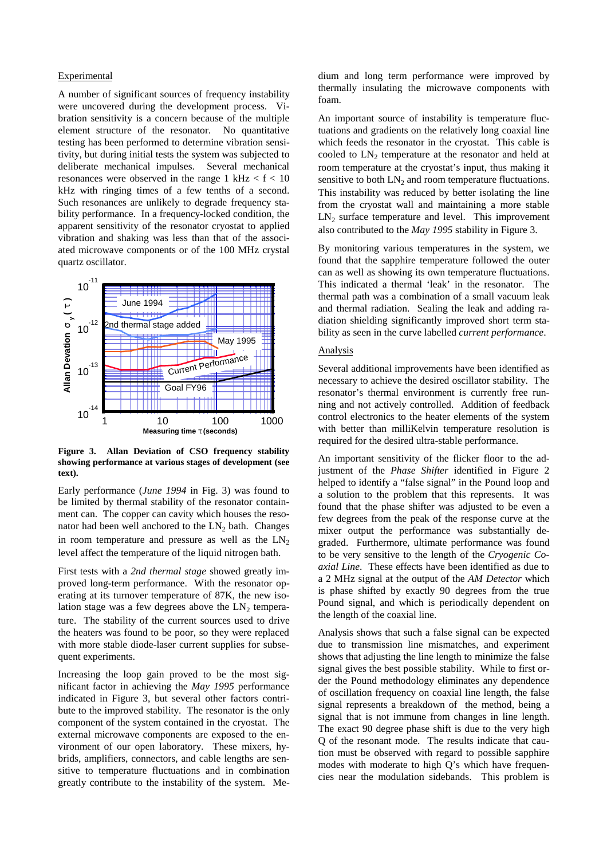#### Experimental

A number of significant sources of frequency instability were uncovered during the development process. Vibration sensitivity is a concern because of the multiple element structure of the resonator. No quantitative testing has been performed to determine vibration sensitivity, but during initial tests the system was subjected to deliberate mechanical impulses. Several mechanical resonances were observed in the range  $1 \text{ kHz} < f < 10$ kHz with ringing times of a few tenths of a second. Such resonances are unlikely to degrade frequency stability performance. In a frequency-locked condition, the apparent sensitivity of the resonator cryostat to applied vibration and shaking was less than that of the associated microwave components or of the 100 MHz crystal quartz oscillator.



**Figure 3. Allan Deviation of CSO frequency stability showing performance at various stages of development (see text).**

Early performance (*June 1994* in Fig. 3) was found to be limited by thermal stability of the resonator containment can. The copper can cavity which houses the resonator had been well anchored to the  $LN<sub>2</sub>$  bath. Changes in room temperature and pressure as well as the  $LN<sub>2</sub>$ level affect the temperature of the liquid nitrogen bath.

First tests with a *2nd thermal stage* showed greatly improved long-term performance. With the resonator operating at its turnover temperature of 87K, the new isolation stage was a few degrees above the  $LN<sub>2</sub>$  temperature. The stability of the current sources used to drive the heaters was found to be poor, so they were replaced with more stable diode-laser current supplies for subsequent experiments.

Increasing the loop gain proved to be the most significant factor in achieving the *May 1995* performance indicated in Figure 3, but several other factors contribute to the improved stability. The resonator is the only component of the system contained in the cryostat. The external microwave components are exposed to the environment of our open laboratory. These mixers, hybrids, amplifiers, connectors, and cable lengths are sensitive to temperature fluctuations and in combination greatly contribute to the instability of the system. Medium and long term performance were improved by thermally insulating the microwave components with foam.

An important source of instability is temperature fluctuations and gradients on the relatively long coaxial line which feeds the resonator in the cryostat. This cable is cooled to LN<sub>2</sub> temperature at the resonator and held at room temperature at the cryostat's input, thus making it sensitive to both  $LN<sub>2</sub>$  and room temperature fluctuations. This instability was reduced by better isolating the line from the cryostat wall and maintaining a more stable  $LN<sub>2</sub>$  surface temperature and level. This improvement also contributed to the *May 1995* stability in Figure 3.

By monitoring various temperatures in the system, we found that the sapphire temperature followed the outer can as well as showing its own temperature fluctuations. This indicated a thermal 'leak' in the resonator. The thermal path was a combination of a small vacuum leak and thermal radiation. Sealing the leak and adding radiation shielding significantly improved short term stability as seen in the curve labelled *current performance*.

### Analysis

Several additional improvements have been identified as necessary to achieve the desired oscillator stability. The resonator's thermal environment is currently free running and not actively controlled. Addition of feedback control electronics to the heater elements of the system with better than milliKelvin temperature resolution is required for the desired ultra-stable performance.

An important sensitivity of the flicker floor to the adjustment of the *Phase Shifter* identified in Figure 2 helped to identify a "false signal" in the Pound loop and a solution to the problem that this represents. It was found that the phase shifter was adjusted to be even a few degrees from the peak of the response curve at the mixer output the performance was substantially degraded. Furthermore, ultimate performance was found to be very sensitive to the length of the *Cryogenic Coaxial Line*. These effects have been identified as due to a 2 MHz signal at the output of the *AM Detector* which is phase shifted by exactly 90 degrees from the true Pound signal, and which is periodically dependent on the length of the coaxial line.

Analysis shows that such a false signal can be expected due to transmission line mismatches, and experiment shows that adjusting the line length to minimize the false signal gives the best possible stability. While to first order the Pound methodology eliminates any dependence of oscillation frequency on coaxial line length, the false signal represents a breakdown of the method, being a signal that is not immune from changes in line length. The exact 90 degree phase shift is due to the very high Q of the resonant mode. The results indicate that caution must be observed with regard to possible sapphire modes with moderate to high Q's which have frequencies near the modulation sidebands. This problem is